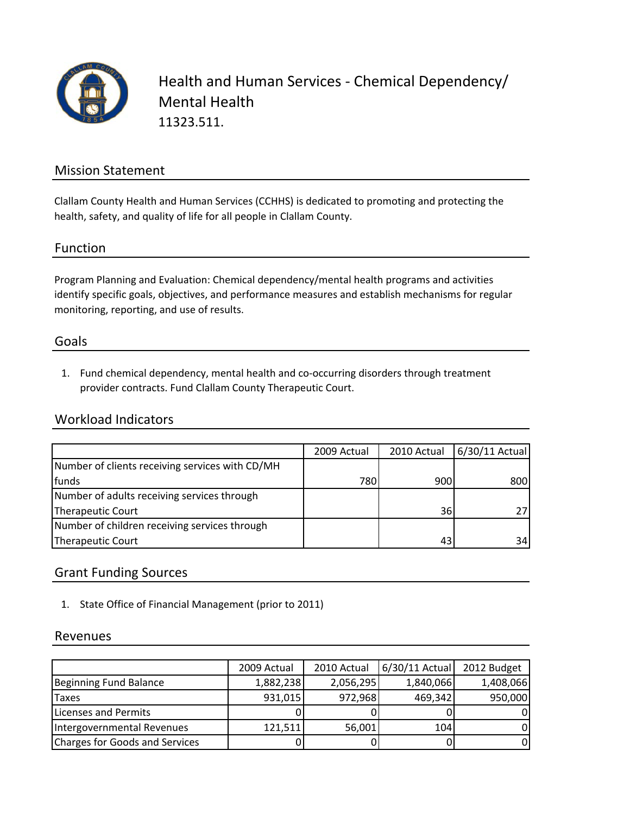

Health and Human Services ‐ Chemical Dependency/ Mental Health 11323.511.

### Mission Statement

Clallam County Health and Human Services (CCHHS) is dedicated to promoting and protecting the health, safety, and quality of life for all people in Clallam County.

### Function

Program Planning and Evaluation: Chemical dependency/mental health programs and activities identify specific goals, objectives, and performance measures and establish mechanisms for regular monitoring, reporting, and use of results.

#### Goals

1. Fund chemical dependency, mental health and co‐occurring disorders through treatment provider contracts. Fund Clallam County Therapeutic Court.

### Workload Indicators

|                                                 | 2009 Actual | 2010 Actual | 6/30/11 Actual |
|-------------------------------------------------|-------------|-------------|----------------|
| Number of clients receiving services with CD/MH |             |             |                |
| funds                                           | 7801        | 900         | 800            |
| Number of adults receiving services through     |             |             |                |
| Therapeutic Court                               |             | 36          |                |
| Number of children receiving services through   |             |             |                |
| Therapeutic Court                               |             | 43          | 34             |

### Grant Funding Sources

1. State Office of Financial Management (prior to 2011)

#### Revenues

|                                | 2009 Actual | 2010 Actual | 6/30/11 Actual | 2012 Budget |
|--------------------------------|-------------|-------------|----------------|-------------|
| <b>Beginning Fund Balance</b>  | 1,882,238   | 2,056,295   | 1,840,066      | 1,408,066   |
| Taxes                          | 931,015     | 972,968     | 469,342        | 950,000     |
| Licenses and Permits           |             |             |                | ΩI          |
| Intergovernmental Revenues     | 121,511     | 56,001      | 104            | 01          |
| Charges for Goods and Services |             |             |                | 01          |